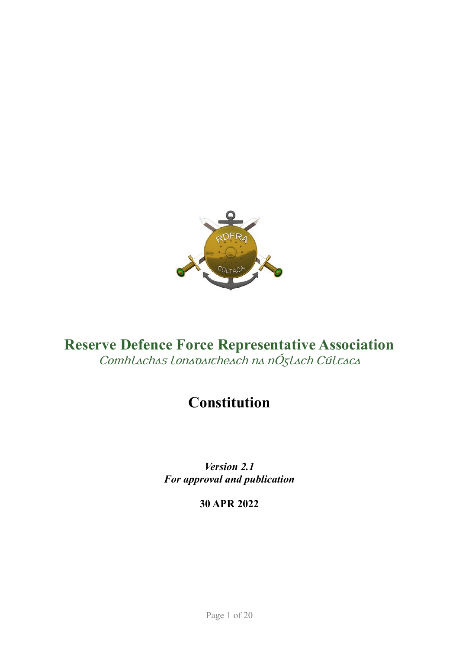

# **Reserve Defence Force Representative Association** Comhlachas lonadaitheach na nÓglach Cúltaca

# **Constitution**

*Version 2.1 For approval and publication*

**30 APR 2022**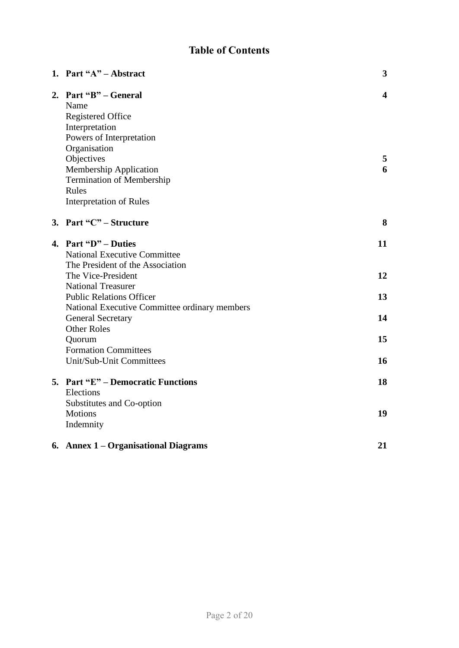## **Table of Contents**

| 1. Part "A" - Abstract                                                                                           | 3      |
|------------------------------------------------------------------------------------------------------------------|--------|
| 2. Part "B" – General<br>Name<br>Registered Office<br>Interpretation<br>Powers of Interpretation<br>Organisation | 4      |
| Objectives<br>Membership Application                                                                             | 5<br>6 |
| <b>Termination of Membership</b><br>Rules<br><b>Interpretation of Rules</b>                                      |        |
| 3. Part " $C$ " – Structure                                                                                      | 8      |
| 4. Part " $D$ " – Duties<br><b>National Executive Committee</b>                                                  | 11     |
| The President of the Association<br>The Vice-President                                                           | 12     |
| <b>National Treasurer</b><br><b>Public Relations Officer</b>                                                     | 13     |
| National Executive Committee ordinary members<br><b>General Secretary</b>                                        | 14     |
| <b>Other Roles</b><br>Quorum                                                                                     | 15     |
| <b>Formation Committees</b><br>Unit/Sub-Unit Committees                                                          | 16     |
| 5. Part "E" – Democratic Functions<br>Elections                                                                  | 18     |
| Substitutes and Co-option<br><b>Motions</b><br>Indemnity                                                         | 19     |
| 6. Annex 1 – Organisational Diagrams                                                                             | 21     |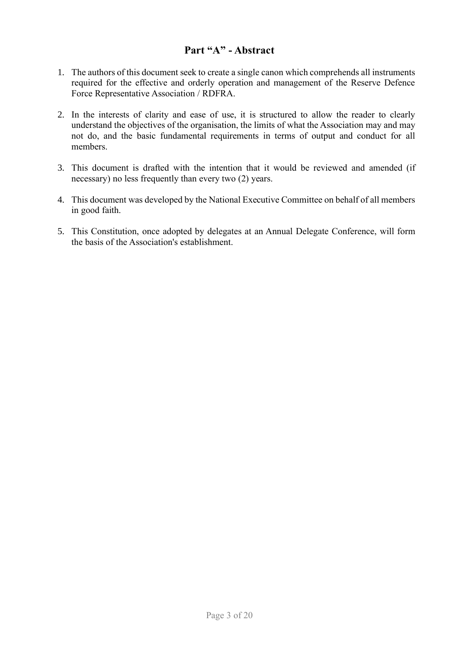## **Part "A" - Abstract**

- 1. The authors of this document seek to create a single canon which comprehends all instruments required for the effective and orderly operation and management of the Reserve Defence Force Representative Association / RDFRA.
- 2. In the interests of clarity and ease of use, it is structured to allow the reader to clearly understand the objectives of the organisation, the limits of what the Association may and may not do, and the basic fundamental requirements in terms of output and conduct for all members.
- 3. This document is drafted with the intention that it would be reviewed and amended (if necessary) no less frequently than every two (2) years.
- 4. This document was developed by the National Executive Committee on behalf of all members in good faith.
- 5. This Constitution, once adopted by delegates at an Annual Delegate Conference, will form the basis of the Association's establishment.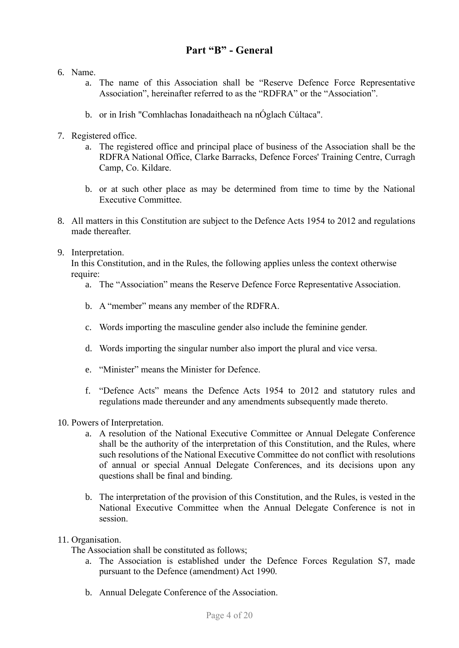## **Part "B" - General**

- 6. Name.
	- a. The name of this Association shall be "Reserve Defence Force Representative Association", hereinafter referred to as the "RDFRA" or the "Association".
	- b. or in Irish "Comhlachas Ionadaitheach na nÓglach Cúltaca".
- 7. Registered office.
	- a. The registered office and principal place of business of the Association shall be the RDFRA National Office, Clarke Barracks, Defence Forces' Training Centre, Curragh Camp, Co. Kildare.
	- b. or at such other place as may be determined from time to time by the National Executive Committee.
- 8. All matters in this Constitution are subject to the Defence Acts 1954 to 2012 and regulations made thereafter.
- 9. Interpretation.

In this Constitution, and in the Rules, the following applies unless the context otherwise require:

- a. The "Association" means the Reserve Defence Force Representative Association.
- b. A "member" means any member of the RDFRA.
- c. Words importing the masculine gender also include the feminine gender.
- d. Words importing the singular number also import the plural and vice versa.
- e. "Minister" means the Minister for Defence.
- f. "Defence Acts" means the Defence Acts 1954 to 2012 and statutory rules and regulations made thereunder and any amendments subsequently made thereto.
- 10. Powers of Interpretation.
	- a. A resolution of the National Executive Committee or Annual Delegate Conference shall be the authority of the interpretation of this Constitution, and the Rules, where such resolutions of the National Executive Committee do not conflict with resolutions of annual or special Annual Delegate Conferences, and its decisions upon any questions shall be final and binding.
	- b. The interpretation of the provision of this Constitution, and the Rules, is vested in the National Executive Committee when the Annual Delegate Conference is not in session.
- 11. Organisation.

The Association shall be constituted as follows;

- a. The Association is established under the Defence Forces Regulation S7, made pursuant to the Defence (amendment) Act 1990.
- b. Annual Delegate Conference of the Association.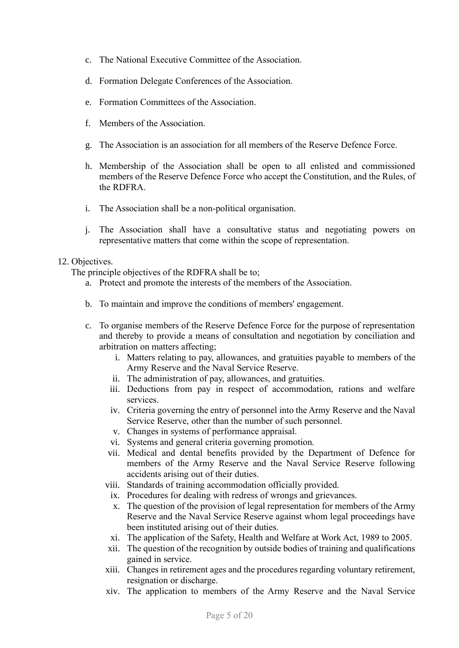- c. The National Executive Committee of the Association.
- d. Formation Delegate Conferences of the Association.
- e. Formation Committees of the Association.
- f. Members of the Association.
- g. The Association is an association for all members of the Reserve Defence Force.
- h. Membership of the Association shall be open to all enlisted and commissioned members of the Reserve Defence Force who accept the Constitution, and the Rules, of the RDFRA.
- i. The Association shall be a non-political organisation.
- j. The Association shall have a consultative status and negotiating powers on representative matters that come within the scope of representation.

#### 12. Objectives.

The principle objectives of the RDFRA shall be to;

- a. Protect and promote the interests of the members of the Association.
- b. To maintain and improve the conditions of members' engagement.
- c. To organise members of the Reserve Defence Force for the purpose of representation and thereby to provide a means of consultation and negotiation by conciliation and arbitration on matters affecting;
	- i. Matters relating to pay, allowances, and gratuities payable to members of the Army Reserve and the Naval Service Reserve.
	- ii. The administration of pay, allowances, and gratuities.
	- iii. Deductions from pay in respect of accommodation, rations and welfare services.
	- iv. Criteria governing the entry of personnel into the Army Reserve and the Naval Service Reserve, other than the number of such personnel.
	- v. Changes in systems of performance appraisal.
	- vi. Systems and general criteria governing promotion.
	- vii. Medical and dental benefits provided by the Department of Defence for members of the Army Reserve and the Naval Service Reserve following accidents arising out of their duties.
	- viii. Standards of training accommodation officially provided.
	- ix. Procedures for dealing with redress of wrongs and grievances.
	- x. The question of the provision of legal representation for members of the Army Reserve and the Naval Service Reserve against whom legal proceedings have been instituted arising out of their duties.
	- xi. The application of the Safety, Health and Welfare at Work Act, 1989 to 2005.
	- xii. The question of the recognition by outside bodies of training and qualifications gained in service.
	- xiii. Changes in retirement ages and the procedures regarding voluntary retirement, resignation or discharge.
	- xiv. The application to members of the Army Reserve and the Naval Service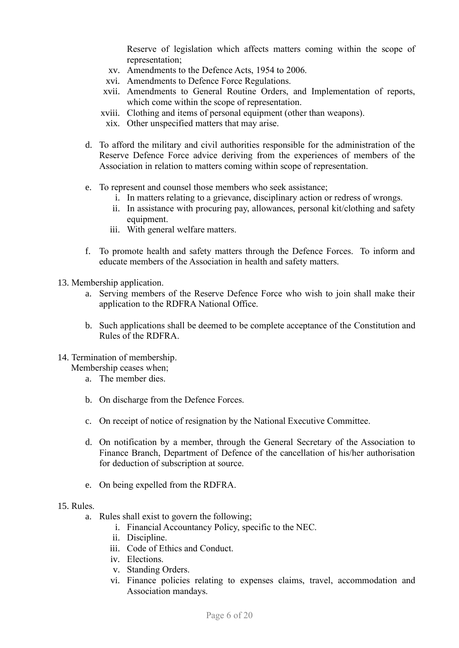Reserve of legislation which affects matters coming within the scope of representation;

- xv. Amendments to the Defence Acts, 1954 to 2006.
- xvi. Amendments to Defence Force Regulations.
- xvii. Amendments to General Routine Orders, and Implementation of reports, which come within the scope of representation.
- xviii. Clothing and items of personal equipment (other than weapons).
- xix. Other unspecified matters that may arise.
- d. To afford the military and civil authorities responsible for the administration of the Reserve Defence Force advice deriving from the experiences of members of the Association in relation to matters coming within scope of representation.
- e. To represent and counsel those members who seek assistance;
	- i. In matters relating to a grievance, disciplinary action or redress of wrongs.
	- ii. In assistance with procuring pay, allowances, personal kit/clothing and safety equipment.
	- iii. With general welfare matters.
- f. To promote health and safety matters through the Defence Forces. To inform and educate members of the Association in health and safety matters.
- 13. Membership application.
	- a. Serving members of the Reserve Defence Force who wish to join shall make their application to the RDFRA National Office.
	- b. Such applications shall be deemed to be complete acceptance of the Constitution and Rules of the RDFRA.
- 14. Termination of membership.

Membership ceases when;

- a. The member dies.
- b. On discharge from the Defence Forces.
- c. On receipt of notice of resignation by the National Executive Committee.
- d. On notification by a member, through the General Secretary of the Association to Finance Branch, Department of Defence of the cancellation of his/her authorisation for deduction of subscription at source.
- e. On being expelled from the RDFRA.

#### 15. Rules.

- a. Rules shall exist to govern the following;
	- i. Financial Accountancy Policy, specific to the NEC.
	- ii. Discipline.
	- iii. Code of Ethics and Conduct.
	- iv. Elections.
	- v. Standing Orders.
	- vi. Finance policies relating to expenses claims, travel, accommodation and Association mandays.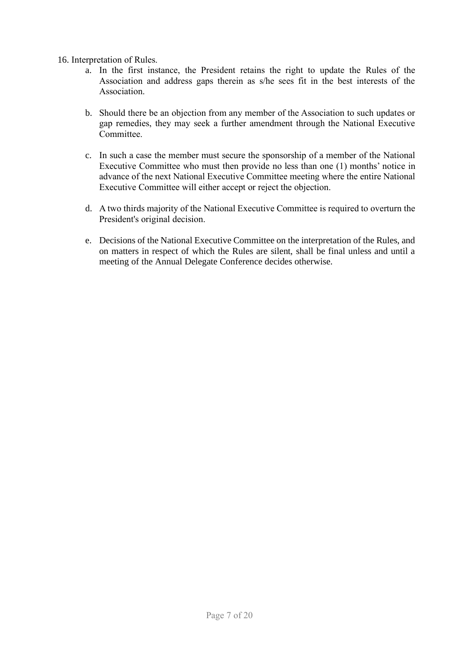16. Interpretation of Rules.

- a. In the first instance, the President retains the right to update the Rules of the Association and address gaps therein as s/he sees fit in the best interests of the Association.
- b. Should there be an objection from any member of the Association to such updates or gap remedies, they may seek a further amendment through the National Executive Committee.
- c. In such a case the member must secure the sponsorship of a member of the National Executive Committee who must then provide no less than one (1) months' notice in advance of the next National Executive Committee meeting where the entire National Executive Committee will either accept or reject the objection.
- d. A two thirds majority of the National Executive Committee is required to overturn the President's original decision.
- e. Decisions of the National Executive Committee on the interpretation of the Rules, and on matters in respect of which the Rules are silent, shall be final unless and until a meeting of the Annual Delegate Conference decides otherwise.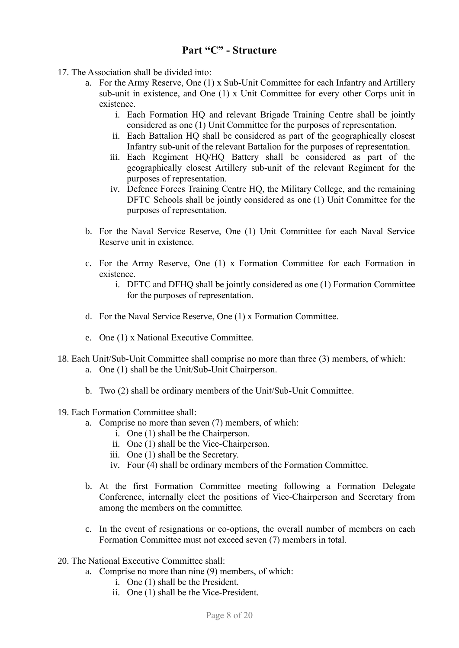## **Part "C" - Structure**

- 17. The Association shall be divided into:
	- a. For the Army Reserve, One (1) x Sub-Unit Committee for each Infantry and Artillery sub-unit in existence, and One (1) x Unit Committee for every other Corps unit in existence.
		- i. Each Formation HQ and relevant Brigade Training Centre shall be jointly considered as one (1) Unit Committee for the purposes of representation.
		- ii. Each Battalion HQ shall be considered as part of the geographically closest Infantry sub-unit of the relevant Battalion for the purposes of representation.
		- iii. Each Regiment HQ/HQ Battery shall be considered as part of the geographically closest Artillery sub-unit of the relevant Regiment for the purposes of representation.
		- iv. Defence Forces Training Centre HQ, the Military College, and the remaining DFTC Schools shall be jointly considered as one (1) Unit Committee for the purposes of representation.
	- b. For the Naval Service Reserve, One (1) Unit Committee for each Naval Service Reserve unit in existence.
	- c. For the Army Reserve, One (1) x Formation Committee for each Formation in existence.
		- i. DFTC and DFHQ shall be jointly considered as one (1) Formation Committee for the purposes of representation.
	- d. For the Naval Service Reserve, One (1) x Formation Committee.
	- e. One (1) x National Executive Committee.
- 18. Each Unit/Sub-Unit Committee shall comprise no more than three (3) members, of which: a. One (1) shall be the Unit/Sub-Unit Chairperson.
	- b. Two (2) shall be ordinary members of the Unit/Sub-Unit Committee.
- 19. Each Formation Committee shall:
	- a. Comprise no more than seven (7) members, of which:
		- i. One (1) shall be the Chairperson.
		- ii. One (1) shall be the Vice-Chairperson.
		- iii. One (1) shall be the Secretary.
		- iv. Four (4) shall be ordinary members of the Formation Committee.
	- b. At the first Formation Committee meeting following a Formation Delegate Conference, internally elect the positions of Vice-Chairperson and Secretary from among the members on the committee.
	- c. In the event of resignations or co-options, the overall number of members on each Formation Committee must not exceed seven (7) members in total.
- 20. The National Executive Committee shall:
	- a. Comprise no more than nine (9) members, of which:
		- i. One (1) shall be the President.
		- ii. One (1) shall be the Vice-President.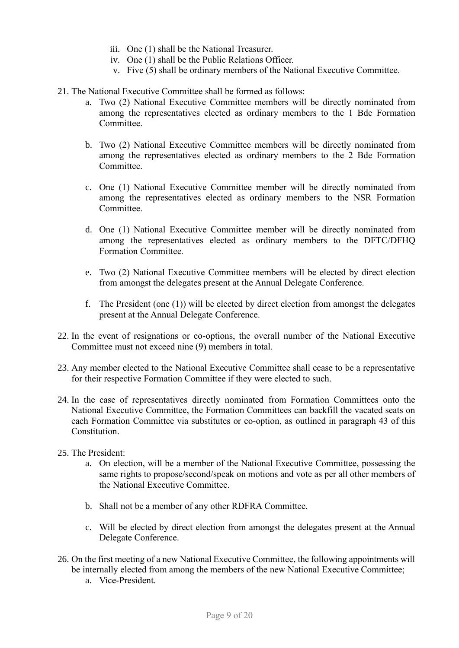- iii. One (1) shall be the National Treasurer.
- iv. One (1) shall be the Public Relations Officer.
- v. Five (5) shall be ordinary members of the National Executive Committee.
- 21. The National Executive Committee shall be formed as follows:
	- a. Two (2) National Executive Committee members will be directly nominated from among the representatives elected as ordinary members to the 1 Bde Formation Committee.
	- b. Two (2) National Executive Committee members will be directly nominated from among the representatives elected as ordinary members to the 2 Bde Formation Committee.
	- c. One (1) National Executive Committee member will be directly nominated from among the representatives elected as ordinary members to the NSR Formation Committee.
	- d. One (1) National Executive Committee member will be directly nominated from among the representatives elected as ordinary members to the DFTC/DFHQ Formation Committee.
	- e. Two (2) National Executive Committee members will be elected by direct election from amongst the delegates present at the Annual Delegate Conference.
	- f. The President (one (1)) will be elected by direct election from amongst the delegates present at the Annual Delegate Conference.
- 22. In the event of resignations or co-options, the overall number of the National Executive Committee must not exceed nine (9) members in total.
- 23. Any member elected to the National Executive Committee shall cease to be a representative for their respective Formation Committee if they were elected to such.
- 24. In the case of representatives directly nominated from Formation Committees onto the National Executive Committee, the Formation Committees can backfill the vacated seats on each Formation Committee via substitutes or co-option, as outlined in paragraph 43 of this Constitution.
- 25. The President:
	- a. On election, will be a member of the National Executive Committee, possessing the same rights to propose/second/speak on motions and vote as per all other members of the National Executive Committee.
	- b. Shall not be a member of any other RDFRA Committee.
	- c. Will be elected by direct election from amongst the delegates present at the Annual Delegate Conference.
- 26. On the first meeting of a new National Executive Committee, the following appointments will be internally elected from among the members of the new National Executive Committee;
	- a. Vice-President.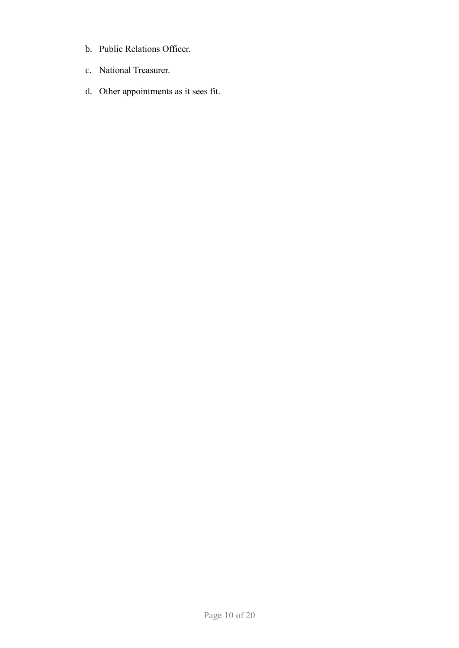- b. Public Relations Officer.
- c. National Treasurer.
- d. Other appointments as it sees fit.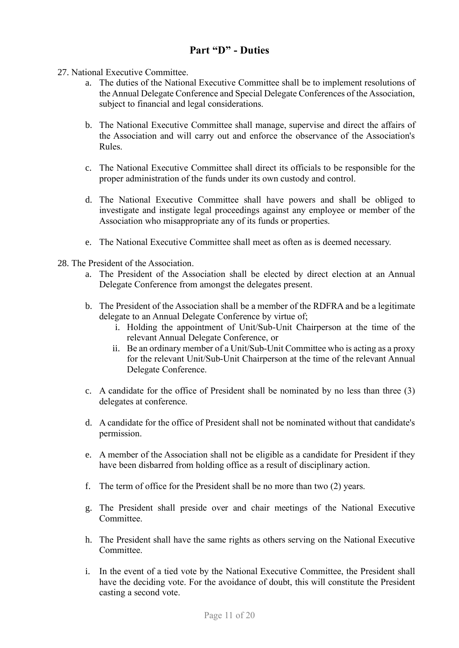## **Part "D" - Duties**

- 27. National Executive Committee.
	- a. The duties of the National Executive Committee shall be to implement resolutions of the Annual Delegate Conference and Special Delegate Conferences of the Association, subject to financial and legal considerations.
	- b. The National Executive Committee shall manage, supervise and direct the affairs of the Association and will carry out and enforce the observance of the Association's Rules.
	- c. The National Executive Committee shall direct its officials to be responsible for the proper administration of the funds under its own custody and control.
	- d. The National Executive Committee shall have powers and shall be obliged to investigate and instigate legal proceedings against any employee or member of the Association who misappropriate any of its funds or properties.
	- e. The National Executive Committee shall meet as often as is deemed necessary.
- 28. The President of the Association.
	- a. The President of the Association shall be elected by direct election at an Annual Delegate Conference from amongst the delegates present.
	- b. The President of the Association shall be a member of the RDFRA and be a legitimate delegate to an Annual Delegate Conference by virtue of;
		- i. Holding the appointment of Unit/Sub-Unit Chairperson at the time of the relevant Annual Delegate Conference, or
		- ii. Be an ordinary member of a Unit/Sub-Unit Committee who is acting as a proxy for the relevant Unit/Sub-Unit Chairperson at the time of the relevant Annual Delegate Conference.
	- c. A candidate for the office of President shall be nominated by no less than three (3) delegates at conference.
	- d. A candidate for the office of President shall not be nominated without that candidate's permission.
	- e. A member of the Association shall not be eligible as a candidate for President if they have been disbarred from holding office as a result of disciplinary action.
	- f. The term of office for the President shall be no more than two (2) years.
	- g. The President shall preside over and chair meetings of the National Executive Committee.
	- h. The President shall have the same rights as others serving on the National Executive Committee.
	- i. In the event of a tied vote by the National Executive Committee, the President shall have the deciding vote. For the avoidance of doubt, this will constitute the President casting a second vote.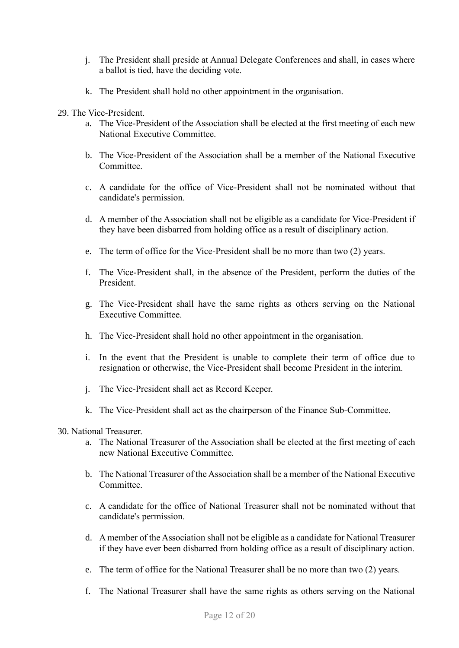- j. The President shall preside at Annual Delegate Conferences and shall, in cases where a ballot is tied, have the deciding vote.
- k. The President shall hold no other appointment in the organisation.
- 29. The Vice-President.
	- a. The Vice-President of the Association shall be elected at the first meeting of each new National Executive Committee.
	- b. The Vice-President of the Association shall be a member of the National Executive Committee.
	- c. A candidate for the office of Vice-President shall not be nominated without that candidate's permission.
	- d. A member of the Association shall not be eligible as a candidate for Vice-President if they have been disbarred from holding office as a result of disciplinary action.
	- e. The term of office for the Vice-President shall be no more than two (2) years.
	- f. The Vice-President shall, in the absence of the President, perform the duties of the President.
	- g. The Vice-President shall have the same rights as others serving on the National Executive Committee.
	- h. The Vice-President shall hold no other appointment in the organisation.
	- i. In the event that the President is unable to complete their term of office due to resignation or otherwise, the Vice-President shall become President in the interim.
	- j. The Vice-President shall act as Record Keeper.
	- k. The Vice-President shall act as the chairperson of the Finance Sub-Committee.
- 30. National Treasurer.
	- a. The National Treasurer of the Association shall be elected at the first meeting of each new National Executive Committee.
	- b. The National Treasurer of the Association shall be a member of the National Executive Committee.
	- c. A candidate for the office of National Treasurer shall not be nominated without that candidate's permission.
	- d. A member of the Association shall not be eligible as a candidate for National Treasurer if they have ever been disbarred from holding office as a result of disciplinary action.
	- e. The term of office for the National Treasurer shall be no more than two (2) years.
	- f. The National Treasurer shall have the same rights as others serving on the National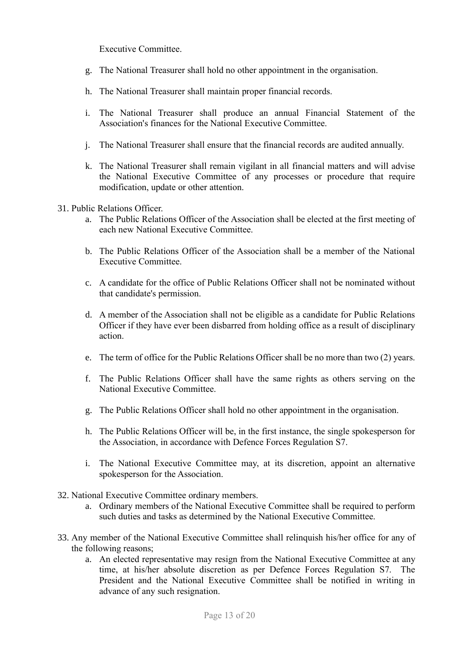Executive Committee.

- g. The National Treasurer shall hold no other appointment in the organisation.
- h. The National Treasurer shall maintain proper financial records.
- i. The National Treasurer shall produce an annual Financial Statement of the Association's finances for the National Executive Committee.
- j. The National Treasurer shall ensure that the financial records are audited annually.
- k. The National Treasurer shall remain vigilant in all financial matters and will advise the National Executive Committee of any processes or procedure that require modification, update or other attention.
- 31. Public Relations Officer.
	- a. The Public Relations Officer of the Association shall be elected at the first meeting of each new National Executive Committee.
	- b. The Public Relations Officer of the Association shall be a member of the National Executive Committee.
	- c. A candidate for the office of Public Relations Officer shall not be nominated without that candidate's permission.
	- d. A member of the Association shall not be eligible as a candidate for Public Relations Officer if they have ever been disbarred from holding office as a result of disciplinary action.
	- e. The term of office for the Public Relations Officer shall be no more than two (2) years.
	- f. The Public Relations Officer shall have the same rights as others serving on the National Executive Committee.
	- g. The Public Relations Officer shall hold no other appointment in the organisation.
	- h. The Public Relations Officer will be, in the first instance, the single spokesperson for the Association, in accordance with Defence Forces Regulation S7.
	- i. The National Executive Committee may, at its discretion, appoint an alternative spokesperson for the Association.
- 32. National Executive Committee ordinary members.
	- a. Ordinary members of the National Executive Committee shall be required to perform such duties and tasks as determined by the National Executive Committee.
- 33. Any member of the National Executive Committee shall relinquish his/her office for any of the following reasons;
	- a. An elected representative may resign from the National Executive Committee at any time, at his/her absolute discretion as per Defence Forces Regulation S7. The President and the National Executive Committee shall be notified in writing in advance of any such resignation.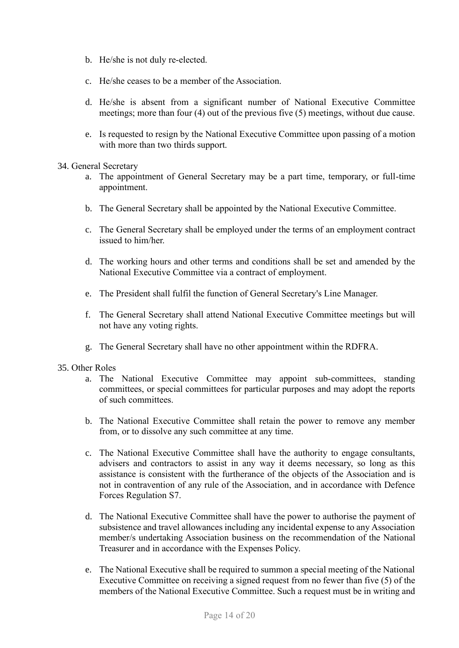- b. He/she is not duly re-elected.
- c. He/she ceases to be a member of the Association.
- d. He/she is absent from a significant number of National Executive Committee meetings; more than four (4) out of the previous five (5) meetings, without due cause.
- e. Is requested to resign by the National Executive Committee upon passing of a motion with more than two thirds support.

#### 34. General Secretary

- a. The appointment of General Secretary may be a part time, temporary, or full-time appointment.
- b. The General Secretary shall be appointed by the National Executive Committee.
- c. The General Secretary shall be employed under the terms of an employment contract issued to him/her.
- d. The working hours and other terms and conditions shall be set and amended by the National Executive Committee via a contract of employment.
- e. The President shall fulfil the function of General Secretary's Line Manager.
- f. The General Secretary shall attend National Executive Committee meetings but will not have any voting rights.
- g. The General Secretary shall have no other appointment within the RDFRA.

#### 35. Other Roles

- a. The National Executive Committee may appoint sub-committees, standing committees, or special committees for particular purposes and may adopt the reports of such committees.
- b. The National Executive Committee shall retain the power to remove any member from, or to dissolve any such committee at any time.
- c. The National Executive Committee shall have the authority to engage consultants, advisers and contractors to assist in any way it deems necessary, so long as this assistance is consistent with the furtherance of the objects of the Association and is not in contravention of any rule of the Association, and in accordance with Defence Forces Regulation S7.
- d. The National Executive Committee shall have the power to authorise the payment of subsistence and travel allowances including any incidental expense to any Association member/s undertaking Association business on the recommendation of the National Treasurer and in accordance with the Expenses Policy.
- e. The National Executive shall be required to summon a special meeting of the National Executive Committee on receiving a signed request from no fewer than five (5) of the members of the National Executive Committee. Such a request must be in writing and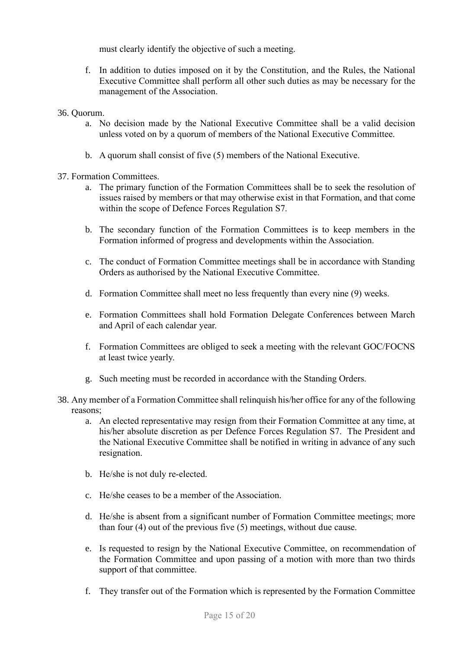must clearly identify the objective of such a meeting.

- f. In addition to duties imposed on it by the Constitution, and the Rules, the National Executive Committee shall perform all other such duties as may be necessary for the management of the Association.
- 36. Quorum.
	- a. No decision made by the National Executive Committee shall be a valid decision unless voted on by a quorum of members of the National Executive Committee.
	- b. A quorum shall consist of five (5) members of the National Executive.
- 37. Formation Committees.
	- a. The primary function of the Formation Committees shall be to seek the resolution of issues raised by members or that may otherwise exist in that Formation, and that come within the scope of Defence Forces Regulation S7.
	- b. The secondary function of the Formation Committees is to keep members in the Formation informed of progress and developments within the Association.
	- c. The conduct of Formation Committee meetings shall be in accordance with Standing Orders as authorised by the National Executive Committee.
	- d. Formation Committee shall meet no less frequently than every nine (9) weeks.
	- e. Formation Committees shall hold Formation Delegate Conferences between March and April of each calendar year.
	- f. Formation Committees are obliged to seek a meeting with the relevant GOC/FOCNS at least twice yearly.
	- g. Such meeting must be recorded in accordance with the Standing Orders.
- 38. Any member of a Formation Committee shall relinquish his/her office for any of the following reasons;
	- a. An elected representative may resign from their Formation Committee at any time, at his/her absolute discretion as per Defence Forces Regulation S7. The President and the National Executive Committee shall be notified in writing in advance of any such resignation.
	- b. He/she is not duly re-elected.
	- c. He/she ceases to be a member of the Association.
	- d. He/she is absent from a significant number of Formation Committee meetings; more than four (4) out of the previous five (5) meetings, without due cause.
	- e. Is requested to resign by the National Executive Committee, on recommendation of the Formation Committee and upon passing of a motion with more than two thirds support of that committee.
	- f. They transfer out of the Formation which is represented by the Formation Committee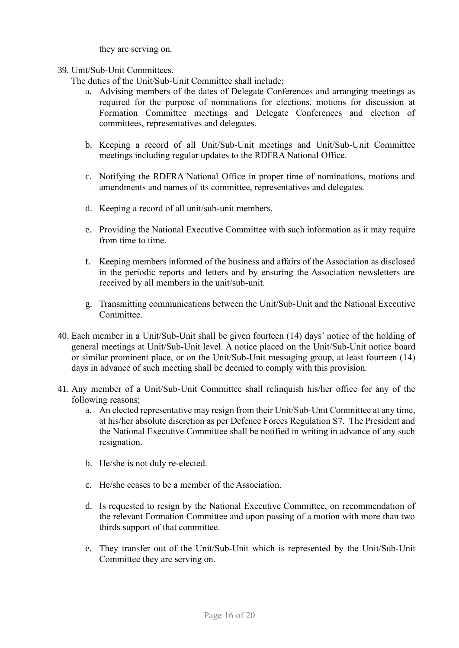they are serving on.

#### 39. Unit/Sub-Unit Committees.

The duties of the Unit/Sub-Unit Committee shall include;

- a. Advising members of the dates of Delegate Conferences and arranging meetings as required for the purpose of nominations for elections, motions for discussion at Formation Committee meetings and Delegate Conferences and election of committees, representatives and delegates.
- b. Keeping a record of all Unit/Sub-Unit meetings and Unit/Sub-Unit Committee meetings including regular updates to the RDFRA National Office.
- c. Notifying the RDFRA National Office in proper time of nominations, motions and amendments and names of its committee, representatives and delegates.
- d. Keeping a record of all unit/sub-unit members.
- e. Providing the National Executive Committee with such information as it may require from time to time.
- f. Keeping members informed of the business and affairs of the Association as disclosed in the periodic reports and letters and by ensuring the Association newsletters are received by all members in the unit/sub-unit.
- g. Transmitting communications between the Unit/Sub-Unit and the National Executive Committee.
- 40. Each member in a Unit/Sub-Unit shall be given fourteen (14) days' notice of the holding of general meetings at Unit/Sub-Unit level. A notice placed on the Unit/Sub-Unit notice board or similar prominent place, or on the Unit/Sub-Unit messaging group, at least fourteen (14) days in advance of such meeting shall be deemed to comply with this provision.
- 41. Any member of a Unit/Sub-Unit Committee shall relinquish his/her office for any of the following reasons;
	- a. An elected representative may resign from their Unit/Sub-Unit Committee at any time, at his/her absolute discretion as per Defence Forces Regulation S7. The President and the National Executive Committee shall be notified in writing in advance of any such resignation.
	- b. He/she is not duly re-elected.
	- c. He/she ceases to be a member of the Association.
	- d. Is requested to resign by the National Executive Committee, on recommendation of the relevant Formation Committee and upon passing of a motion with more than two thirds support of that committee.
	- e. They transfer out of the Unit/Sub-Unit which is represented by the Unit/Sub-Unit Committee they are serving on.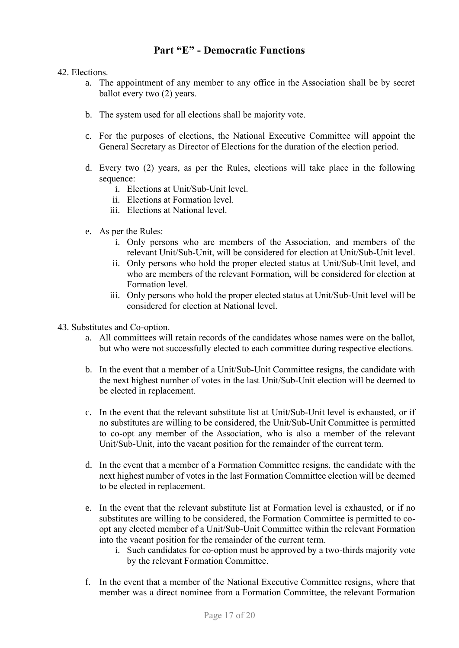## **Part "E" - Democratic Functions**

- 42. Elections.
	- a. The appointment of any member to any office in the Association shall be by secret ballot every two (2) years.
	- b. The system used for all elections shall be majority vote.
	- c. For the purposes of elections, the National Executive Committee will appoint the General Secretary as Director of Elections for the duration of the election period.
	- d. Every two (2) years, as per the Rules, elections will take place in the following sequence:
		- i. Elections at Unit/Sub-Unit level.
		- ii. Elections at Formation level.
		- iii. Elections at National level.
	- e. As per the Rules:
		- i. Only persons who are members of the Association, and members of the relevant Unit/Sub-Unit, will be considered for election at Unit/Sub-Unit level.
		- ii. Only persons who hold the proper elected status at Unit/Sub-Unit level, and who are members of the relevant Formation, will be considered for election at Formation level.
		- iii. Only persons who hold the proper elected status at Unit/Sub-Unit level will be considered for election at National level.
- 43. Substitutes and Co-option.
	- a. All committees will retain records of the candidates whose names were on the ballot, but who were not successfully elected to each committee during respective elections.
	- b. In the event that a member of a Unit/Sub-Unit Committee resigns, the candidate with the next highest number of votes in the last Unit/Sub-Unit election will be deemed to be elected in replacement.
	- c. In the event that the relevant substitute list at Unit/Sub-Unit level is exhausted, or if no substitutes are willing to be considered, the Unit/Sub-Unit Committee is permitted to co-opt any member of the Association, who is also a member of the relevant Unit/Sub-Unit, into the vacant position for the remainder of the current term.
	- d. In the event that a member of a Formation Committee resigns, the candidate with the next highest number of votes in the last Formation Committee election will be deemed to be elected in replacement.
	- e. In the event that the relevant substitute list at Formation level is exhausted, or if no substitutes are willing to be considered, the Formation Committee is permitted to coopt any elected member of a Unit/Sub-Unit Committee within the relevant Formation into the vacant position for the remainder of the current term.
		- i. Such candidates for co-option must be approved by a two-thirds majority vote by the relevant Formation Committee.
	- f. In the event that a member of the National Executive Committee resigns, where that member was a direct nominee from a Formation Committee, the relevant Formation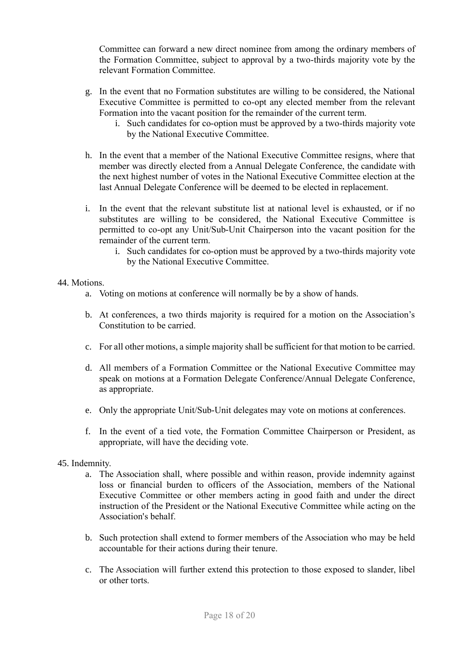Committee can forward a new direct nominee from among the ordinary members of the Formation Committee, subject to approval by a two-thirds majority vote by the relevant Formation Committee.

- g. In the event that no Formation substitutes are willing to be considered, the National Executive Committee is permitted to co-opt any elected member from the relevant Formation into the vacant position for the remainder of the current term.
	- i. Such candidates for co-option must be approved by a two-thirds majority vote by the National Executive Committee.
- h. In the event that a member of the National Executive Committee resigns, where that member was directly elected from a Annual Delegate Conference, the candidate with the next highest number of votes in the National Executive Committee election at the last Annual Delegate Conference will be deemed to be elected in replacement.
- i. In the event that the relevant substitute list at national level is exhausted, or if no substitutes are willing to be considered, the National Executive Committee is permitted to co-opt any Unit/Sub-Unit Chairperson into the vacant position for the remainder of the current term.
	- i. Such candidates for co-option must be approved by a two-thirds majority vote by the National Executive Committee.

#### 44. Motions.

- a. Voting on motions at conference will normally be by a show of hands.
- b. At conferences, a two thirds majority is required for a motion on the Association's Constitution to be carried.
- c. For all other motions, a simple majority shall be sufficient for that motion to be carried.
- d. All members of a Formation Committee or the National Executive Committee may speak on motions at a Formation Delegate Conference/Annual Delegate Conference, as appropriate.
- e. Only the appropriate Unit/Sub-Unit delegates may vote on motions at conferences.
- f. In the event of a tied vote, the Formation Committee Chairperson or President, as appropriate, will have the deciding vote.

#### 45. Indemnity.

- a. The Association shall, where possible and within reason, provide indemnity against loss or financial burden to officers of the Association, members of the National Executive Committee or other members acting in good faith and under the direct instruction of the President or the National Executive Committee while acting on the Association's behalf.
- b. Such protection shall extend to former members of the Association who may be held accountable for their actions during their tenure.
- c. The Association will further extend this protection to those exposed to slander, libel or other torts.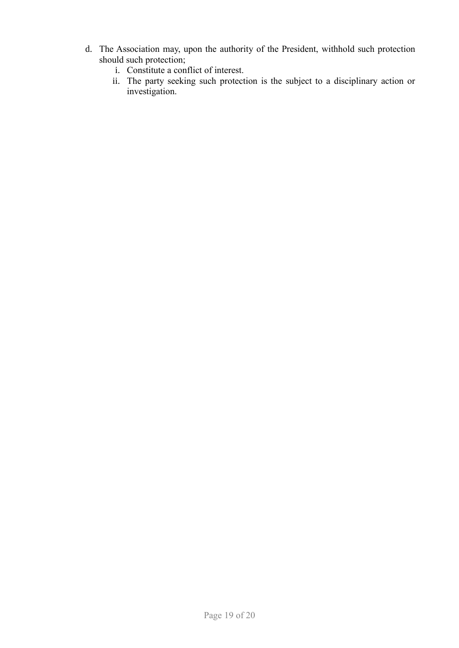- d. The Association may, upon the authority of the President, withhold such protection should such protection;
	- i. Constitute a conflict of interest.
	- ii. The party seeking such protection is the subject to a disciplinary action or investigation.